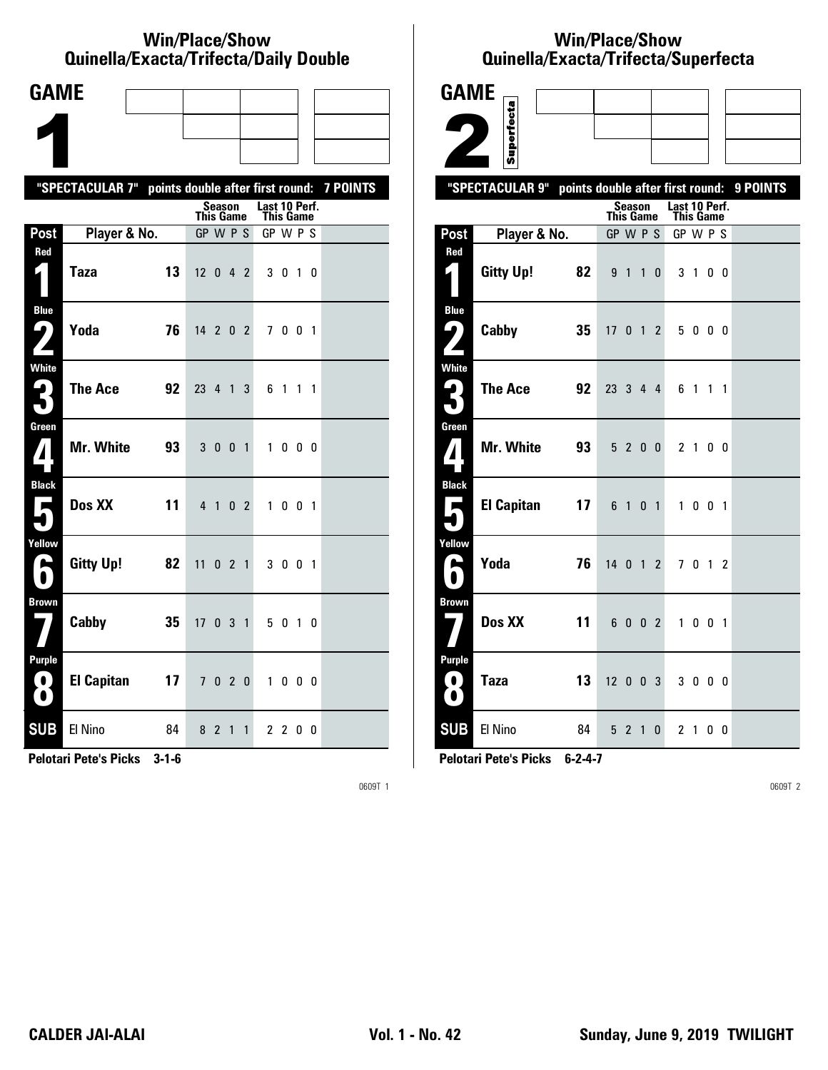#### **Win/Place/Show Qui nel la/Exacta/Tri fecta/Daily Dou ble**

| <b>GAME</b>                        |                                                           |    |                |                              |                |               |           |  |  |
|------------------------------------|-----------------------------------------------------------|----|----------------|------------------------------|----------------|---------------|-----------|--|--|
|                                    |                                                           |    |                |                              |                |               |           |  |  |
|                                    |                                                           |    |                |                              |                |               |           |  |  |
|                                    | "SPECTACULAR 7" points double after first round: 7 POINTS |    |                |                              |                |               |           |  |  |
|                                    |                                                           |    |                | Season<br><b>This Game</b>   |                | Last 10 Perf. | This Game |  |  |
| Post                               | Player & No.                                              |    |                | GP W P S                     |                | GP W P S      |           |  |  |
| Red<br>$\vert \vert$               | <b>Taza</b>                                               | 13 |                | $12 \t0 \t4 \t2$             |                |               | 3 0 1 0   |  |  |
| <b>Blue</b><br>7<br>$\mathbf{Z}$   | Yoda                                                      | 76 |                | $14 \quad 2 \quad 0 \quad 2$ |                |               | 7001      |  |  |
| <b>White</b><br>3                  | <b>The Ace</b>                                            | 92 |                | 23 4 1                       | 3              |               | 6 1 1 1   |  |  |
| Green<br>$\mathbf{Z}$              | Mr. White                                                 | 93 |                | 3 0 0 1                      |                |               | 1000      |  |  |
| <b>Black</b><br>$\blacksquare$     | Dos XX                                                    | 11 | 4 <sub>1</sub> |                              | 0 <sub>2</sub> |               | 1 0 0 1   |  |  |
| Yellow<br>A                        | Gitty Up!                                                 | 82 | 11             | 021                          |                |               | 3 0 0 1   |  |  |
| <b>Brown</b>                       | Cabby                                                     | 35 |                | 17 0 3 1                     |                |               | 5 0 1 0   |  |  |
| <b>Purple</b><br>$\mathbf{O}$<br>O | <b>El Capitan</b>                                         | 17 |                | 7 0 2 0                      |                |               | 1000      |  |  |
| <b>SUB</b>                         | El Nino                                                   | 84 | 8 2            | $\overline{1}$               | $\mathbf{1}$   |               | 2 2 0 0   |  |  |

**Pelotari Pete's Picks 3-1-6**

0609T 1

# **Win/Place/Show Qui nel la/Exacta/Tri fecta/Super fecta**

| <b>GAME</b>                            |                                                           |                       |                |                |                       |             |                |  |
|----------------------------------------|-----------------------------------------------------------|-----------------------|----------------|----------------|-----------------------|-------------|----------------|--|
|                                        | Superfecta                                                |                       |                |                |                       |             |                |  |
|                                        |                                                           |                       |                |                |                       |             |                |  |
|                                        |                                                           |                       |                |                |                       |             |                |  |
|                                        | "SPECTACULAR 9" points double after first round: 9 POINTS |                       | Season         |                | Last 10 Perf.         |             |                |  |
| Post                                   | Player & No.                                              | This Game<br>GP W P S |                |                | This Game<br>GP W P S |             |                |  |
| Red                                    |                                                           |                       |                |                |                       |             |                |  |
|                                        | <b>Gitty Up!</b><br>82                                    |                       | 9 1 1          | 0              |                       | $3 \quad 1$ | 0 <sub>0</sub> |  |
| <b>Blue</b><br>51                      | Cabby<br>35                                               | 17 <sup>1</sup>       | 0 <sub>1</sub> | $\mathcal{P}$  |                       | 5000        |                |  |
| <b>White</b><br>$\mathbf{G}_\parallel$ | <b>The Ace</b><br>92                                      | 23 3 4 4              |                |                |                       | 6 1 1 1     |                |  |
| Green<br>${\bf Z}$                     | <b>Mr. White</b><br>93                                    |                       | 5 2 0 0        |                |                       | 2 1 0 0     |                |  |
| <b>Black</b><br>Е                      | <b>El Capitan</b><br>17                                   |                       | 6 1            | 0 <sub>1</sub> | $\mathbf{1}$          | $0 \t0 \t1$ |                |  |
| Yellow<br>ь                            | Yoda<br>76                                                | 14012                 |                |                |                       | 7 0 1 2     |                |  |
| <b>Brown</b>                           | Dos XX<br>11                                              |                       | 6 0 0 2        |                |                       | 1 0 0 1     |                |  |
| <b>Purple</b><br>0<br>$\bullet$        | 13<br><b>Taza</b>                                         | 12003                 |                |                |                       | 3 0 0 0     |                |  |
| <b>SUB</b>                             | El Nino<br>84                                             |                       | 5 2 1 0        |                |                       | 2 1 0 0     |                |  |

**Pelotari Pete's Picks 6-2-4-7**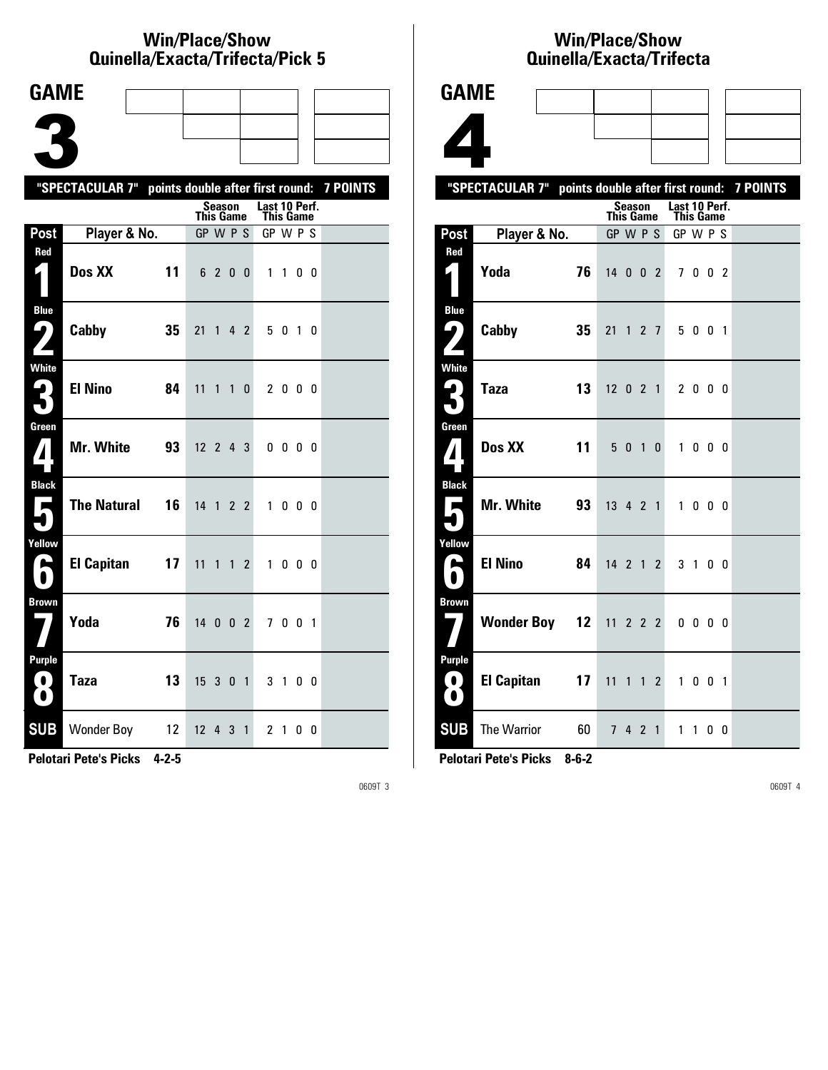### **Win/Place/Show Qui nel la/Exacta/Tri fecta/Pick 5**

| <b>GAME</b>                      |                                                           |    |                              |                |                |                |               |                |                   |  |
|----------------------------------|-----------------------------------------------------------|----|------------------------------|----------------|----------------|----------------|---------------|----------------|-------------------|--|
|                                  |                                                           |    |                              |                |                |                |               |                |                   |  |
|                                  |                                                           |    |                              |                |                |                |               |                |                   |  |
|                                  | "SPECTACULAR 7" points double after first round: 7 POINTS |    |                              |                |                |                |               |                |                   |  |
|                                  |                                                           |    |                              | Season         |                |                | Last 10 Perf. |                |                   |  |
| Post                             | Player & No.                                              |    | <b>This Game</b><br>GP W P S |                |                |                | GP W P S      | This Game      |                   |  |
| Red<br>$\mathbf{r}$              | Dos XX                                                    | 11 |                              | 6 2 0 0        |                |                |               | $1\quad1$      | 00                |  |
| <b>Blue</b><br>9)                | Cabby                                                     | 35 | 21                           | $\overline{1}$ | 4 <sub>2</sub> |                |               | 5010           |                   |  |
| <b>White</b><br>2<br>$\bullet$ . | <b>El Nino</b>                                            | 84 | 11                           | $\mathbf{1}$   | $\mathbf{1}$   | $\mathbf{0}$   |               | 2 0 0 0        |                   |  |
| Green                            | Mr. White                                                 | 93 | $12 \t2 \t4 \t3$             |                |                |                |               | $0\,0\,0\,0$   |                   |  |
| <b>Black</b><br>$\blacksquare$   | <b>The Natural</b>                                        | 16 | 14 1 2 2                     |                |                |                |               | 1000           |                   |  |
| Yellow<br>E                      | <b>El Capitan</b>                                         | 17 | 11                           | $\mathbf{1}$   | 1              | $\overline{2}$ | 1             |                | $0\quad 0\quad 0$ |  |
| <b>Brown</b>                     | Yoda                                                      | 76 | 14 0 0 2                     |                |                |                |               | 7 0 0 1        |                   |  |
| Purple<br>.<br>$\bullet$         | <b>Taza</b>                                               | 13 | 15 <sup>3</sup>              |                | 0 <sub>1</sub> |                |               | 3 1 0 0        |                   |  |
| <b>SUB</b>                       | Wonder Boy 12                                             |    | 12 <sup>12</sup>             | 4              | 3              | $\mathbf{1}$   |               | 2 <sub>1</sub> | 00                |  |

**Pelotari Pete's Picks 4-2-5**

0609T 3

### **Win/Place/Show Qui nel la/Exacta/Tri fecta**



|                                     | "SPECTACULAR 7" points double after first round: 7 POINTS |                  |                |             |              |                                   |              |                   |                |  |
|-------------------------------------|-----------------------------------------------------------|------------------|----------------|-------------|--------------|-----------------------------------|--------------|-------------------|----------------|--|
|                                     |                                                           | <b>This Game</b> | <b>Season</b>  |             |              | Last 10 Perf.<br><b>This Game</b> |              |                   |                |  |
| Post                                | Player & No.                                              | GP W P S         |                |             |              | GP W P S                          |              |                   |                |  |
| Red<br>61                           | Yoda<br>76                                                | $14002$          |                |             |              |                                   | 7 0 0 2      |                   |                |  |
| <b>Blue</b><br>9)<br>$\mathbf{Z}$   | Cabby<br>35                                               | 21               |                | $1 \t2 \t7$ |              |                                   | 5 0 0 1      |                   |                |  |
| <b>White</b><br>3                   | <b>Taza</b><br>13                                         | $12 \t0 \t2 \t1$ |                |             |              |                                   | 2 0 0 0      |                   |                |  |
| Green<br>$\mathbf{I}$               | Dos XX<br>11                                              |                  | 5010           |             |              |                                   | 1 0 0 0      |                   |                |  |
| <b>Black</b><br>$\blacksquare$<br>0 | Mr. White<br>93                                           | 13 4 2 1         |                |             |              | $\mathbf{1}$                      |              | $0\quad 0\quad 0$ |                |  |
| Yellow<br>L<br>$\bullet$            | <b>El Nino</b><br>84                                      | $14$ 2 1 2       |                |             |              |                                   | 3 1 0 0      |                   |                |  |
| <b>Brown</b>                        | <b>Wonder Boy 12</b>                                      | $11$ 2 2 2       |                |             |              |                                   | $0\ 0\ 0\ 0$ |                   |                |  |
| <b>Purple</b><br>$\bf{O}$<br>0      | <b>El Capitan</b><br>17                                   | 11               |                | $1 \t1 \t2$ |              | $\mathbf{1}$                      |              | $0 \t0 \t1$       |                |  |
| <b>SUB</b>                          | <b>The Warrior</b><br>60                                  | 7 <sup>7</sup>   | 4 <sub>2</sub> |             | $\mathbf{1}$ | 1.                                | $\mathbf{1}$ |                   | 0 <sub>0</sub> |  |

**Pelotari Pete's Picks 8-6-2**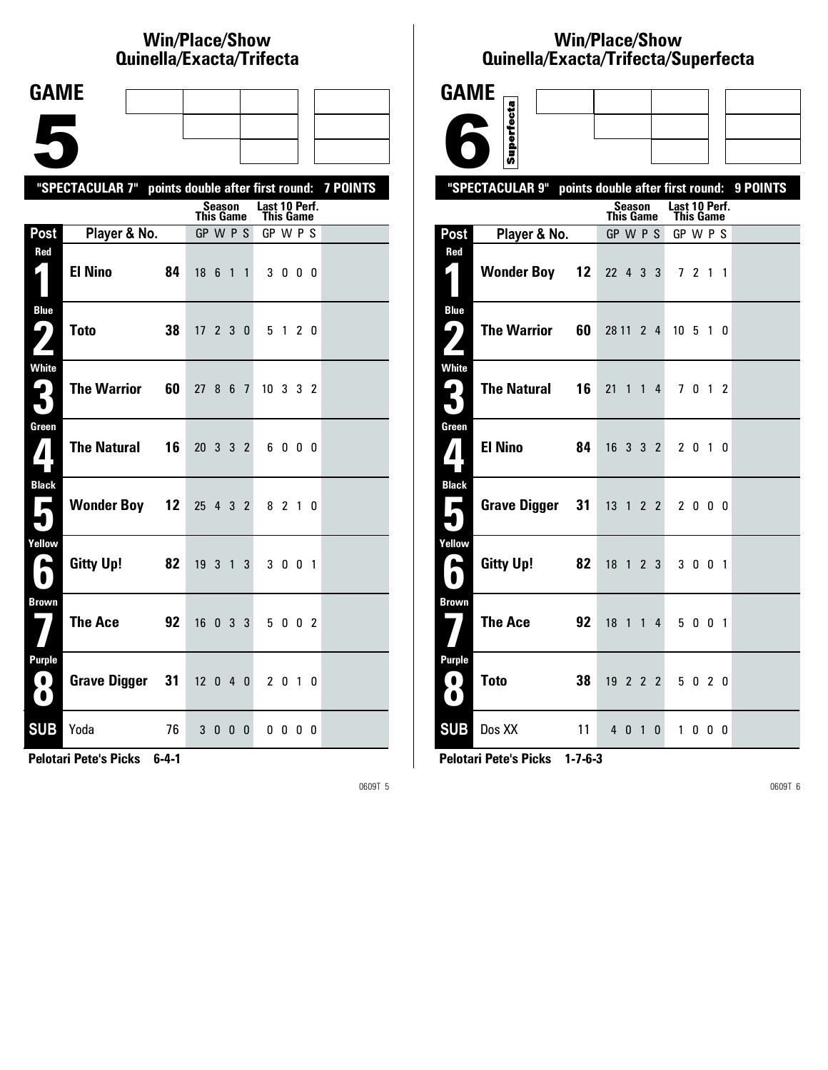# **Win/Place/Show Qui nel la/Exacta/Tri fecta**

| <b>GAME</b>                                     |                                                           |    |                              |        |                 |                              |              |                |  |
|-------------------------------------------------|-----------------------------------------------------------|----|------------------------------|--------|-----------------|------------------------------|--------------|----------------|--|
|                                                 |                                                           |    |                              |        |                 |                              |              |                |  |
|                                                 |                                                           |    |                              |        |                 |                              |              |                |  |
|                                                 |                                                           |    |                              |        |                 |                              |              |                |  |
|                                                 | "SPECTACULAR 7" points double after first round: 7 POINTS |    |                              | Season |                 | Last 10 Perf.                |              |                |  |
| Post                                            | Player & No.                                              |    | <b>This Game</b><br>GP W P S |        |                 | <b>This Game</b><br>GP W P S |              |                |  |
| Red                                             |                                                           |    |                              |        |                 |                              |              |                |  |
| $\mathbf{L}_\parallel$                          | <b>El Nino</b>                                            | 84 | 18 <sub>6</sub>              |        | $1\quad1$       |                              | 3000         |                |  |
| <b>Blue</b><br>ر ما                             | <b>Toto</b>                                               | 38 | 17, 2, 3, 0                  |        |                 |                              | 5 1          | 2 <sub>0</sub> |  |
|                                                 |                                                           |    |                              |        |                 |                              |              |                |  |
| White<br>3                                      | <b>The Warrior</b>                                        | 60 | 27                           |        | 8 6 7           | 10 3 3 2                     |              |                |  |
|                                                 |                                                           |    |                              |        |                 |                              |              |                |  |
| Green<br>4                                      | <b>The Natural</b>                                        | 16 | 20 3 3 2                     |        |                 |                              | 6000         |                |  |
| <b>Black</b><br>$\overline{\phantom{a}}$        | <b>Wonder Boy</b>                                         | 12 | 25 4 3 2                     |        |                 |                              | 8 2 1 0      |                |  |
| Yellow<br>E                                     | <b>Gitty Up!</b>                                          | 82 | 19 <sub>3</sub>              |        | $1\overline{3}$ |                              | 3 0 0 1      |                |  |
| <b>Brown</b>                                    | <b>The Ace</b>                                            | 92 | 16 0 3 3                     |        |                 |                              | 5 0 0 2      |                |  |
| <b>Purple</b><br>$\left( 0\right)$<br>$\bullet$ | <b>Grave Digger</b>                                       | 31 | $12 \quad 0 \quad 4 \quad 0$ |        |                 |                              | 2 0 1 0      |                |  |
| <b>SUB</b>                                      | Yoda                                                      | 76 |                              | 3000   |                 |                              | $0\,0\,0\,0$ |                |  |

**Pelotari Pete's Picks 6-4-1**

0609T 5

# **Win/Place/Show Qui nel la/Exacta/Tri fecta/Super fecta**

| <b>GAME</b>                                   |                           |                            |                                  |          |
|-----------------------------------------------|---------------------------|----------------------------|----------------------------------|----------|
|                                               | Superfecta                |                            |                                  |          |
|                                               |                           |                            |                                  |          |
|                                               | "SPECTACULAR 9"           |                            | points double after first round: | 9 POINTS |
|                                               |                           | Season<br><b>This Game</b> | Last 10 Perf.<br>This Game       |          |
| Post                                          | Player & No.              | GP W P S                   | GP W P S                         |          |
| Red<br>4                                      | <b>Wonder Boy</b><br>12   | $22 \t 4 \t 3$<br>3        | 7211                             |          |
| <b>Blue</b><br>ر ما                           | <b>The Warrior</b><br>60  | 28 11 2 4                  | 10 <sub>5</sub><br>10            |          |
| <b>White</b><br>4<br>۰.                       | <b>The Natural</b><br>16  | 21<br>$1\quad1$<br>4       | 7 0 1 2                          |          |
| Green<br>$\boldsymbol{I}$                     | <b>El Nino</b><br>84      | 16 3 3 2                   | 2 0 1 0                          |          |
| <b>Black</b><br>$\overline{\phantom{a}}$<br>٠ | <b>Grave Digger</b><br>31 | 13 1 2 2                   | 2000                             |          |
| Yellow<br>A                                   | <b>Gitty Up!</b><br>82    | 18 1 2 3                   | 3 0 0 1                          |          |
| Brown                                         | <b>The Ace</b><br>92      | 18 1 1 4                   | 5 0 0 1                          |          |
| <b>Purple</b><br>$\bullet$<br>$\bullet$       | <b>Toto</b><br>38         | 19 2 2 2                   | 5 0 2 0                          |          |
| <b>SUB</b>                                    | 11<br>Dos XX              | 4 0 1<br>0                 | 1000                             |          |

**Pelotari Pete's Picks 1-7-6-3**